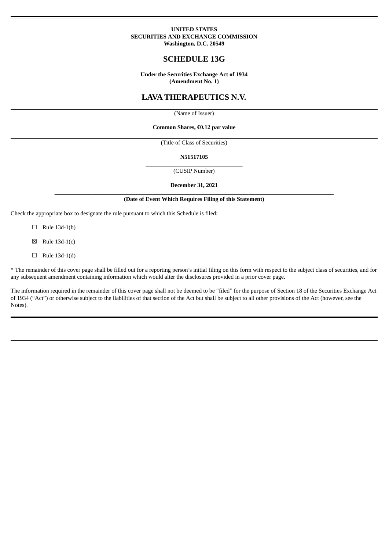### **UNITED STATES SECURITIES AND EXCHANGE COMMISSION Washington, D.C. 20549**

# **SCHEDULE 13G**

**Under the Securities Exchange Act of 1934 (Amendment No. 1)**

# **LAVA THERAPEUTICS N.V.**

(Name of Issuer)

### **Common Shares, €0.12 par value**

(Title of Class of Securities)

#### **N51517105**

\_\_\_\_\_\_\_\_\_\_\_\_\_\_\_\_\_\_\_\_\_\_\_\_\_\_\_\_\_\_\_\_\_ (CUSIP Number)

### **December 31, 2021**

#### \_\_\_\_\_\_\_\_\_\_\_\_\_\_\_\_\_\_\_\_\_\_\_\_\_\_\_\_\_\_\_\_\_\_\_\_\_\_\_\_\_\_\_\_\_\_\_\_\_\_\_\_\_\_\_\_\_\_\_\_\_\_\_\_\_\_\_\_\_\_\_\_\_\_\_\_\_\_\_\_\_\_\_\_\_\_\_\_\_\_\_\_\_\_\_ **(Date of Event Which Requires Filing of this Statement)**

Check the appropriate box to designate the rule pursuant to which this Schedule is filed:

 $\Box$  Rule 13d-1(b)

 $\boxtimes$  Rule 13d-1(c)

 $\Box$  Rule 13d-1(d)

\* The remainder of this cover page shall be filled out for a reporting person's initial filing on this form with respect to the subject class of securities, and for any subsequent amendment containing information which would alter the disclosures provided in a prior cover page.

The information required in the remainder of this cover page shall not be deemed to be "filed" for the purpose of Section 18 of the Securities Exchange Act of 1934 ("Act") or otherwise subject to the liabilities of that section of the Act but shall be subject to all other provisions of the Act (however, see the Notes).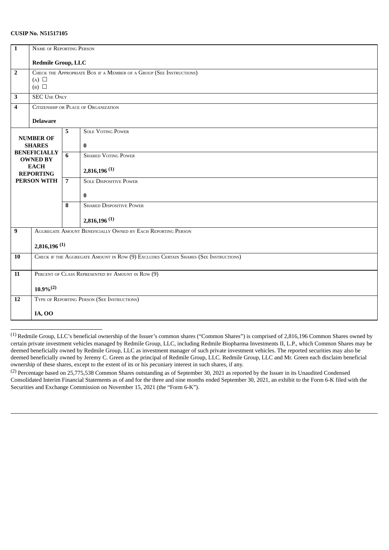## **CUSIP No. N51517105**

| $\mathbf{1}$            | NAME OF REPORTING PERSON                                                            |                                                   |                                 |  |  |  |  |
|-------------------------|-------------------------------------------------------------------------------------|---------------------------------------------------|---------------------------------|--|--|--|--|
|                         |                                                                                     |                                                   |                                 |  |  |  |  |
|                         |                                                                                     | Redmile Group, LLC                                |                                 |  |  |  |  |
| $\overline{2}$          | CHECK THE APPROPRIATE BOX IF A MEMBER OF A GROUP (SEE INSTRUCTIONS)                 |                                                   |                                 |  |  |  |  |
|                         | $(A)$ $\square$                                                                     |                                                   |                                 |  |  |  |  |
|                         | $(B)$ $\square$                                                                     |                                                   |                                 |  |  |  |  |
| $\overline{\mathbf{3}}$ | <b>SEC USE ONLY</b>                                                                 |                                                   |                                 |  |  |  |  |
| 4                       | CITIZENSHIP OR PLACE OF ORGANIZATION                                                |                                                   |                                 |  |  |  |  |
|                         | <b>Delaware</b>                                                                     |                                                   |                                 |  |  |  |  |
|                         |                                                                                     | 5                                                 | <b>SOLE VOTING POWER</b>        |  |  |  |  |
|                         | <b>NUMBER OF</b>                                                                    |                                                   |                                 |  |  |  |  |
|                         | <b>SHARES</b><br><b>BENEFICIALLY</b>                                                |                                                   | $\bf{0}$                        |  |  |  |  |
|                         | <b>OWNED BY</b>                                                                     | 6                                                 | <b>SHARED VOTING POWER</b>      |  |  |  |  |
|                         | <b>EACH</b>                                                                         |                                                   |                                 |  |  |  |  |
|                         | <b>REPORTING</b>                                                                    |                                                   | $2,816,196$ <sup>(1)</sup>      |  |  |  |  |
| <b>PERSON WITH</b>      |                                                                                     | $\overline{7}$                                    | <b>SOLE DISPOSITIVE POWER</b>   |  |  |  |  |
|                         |                                                                                     |                                                   | $\bf{0}$                        |  |  |  |  |
|                         |                                                                                     | 8                                                 | <b>SHARED DISPOSITIVE POWER</b> |  |  |  |  |
|                         |                                                                                     |                                                   | $2,816,196$ <sup>(1)</sup>      |  |  |  |  |
| $\overline{9}$          | AGGREGATE AMOUNT BENEFICIALLY OWNED BY EACH REPORTING PERSON                        |                                                   |                                 |  |  |  |  |
|                         | $2,816,196$ <sup>(1)</sup>                                                          |                                                   |                                 |  |  |  |  |
| <b>10</b>               | CHECK IF THE AGGREGATE AMOUNT IN ROW (9) EXCLUDES CERTAIN SHARES (SEE INSTRUCTIONS) |                                                   |                                 |  |  |  |  |
|                         |                                                                                     |                                                   |                                 |  |  |  |  |
| 11                      |                                                                                     | PERCENT OF CLASS REPRESENTED BY AMOUNT IN ROW (9) |                                 |  |  |  |  |
|                         | $10.9\%^{(2)}$                                                                      |                                                   |                                 |  |  |  |  |
|                         |                                                                                     |                                                   |                                 |  |  |  |  |
| <b>12</b>               | TYPE OF REPORTING PERSON (SEE INSTRUCTIONS)                                         |                                                   |                                 |  |  |  |  |
|                         | <b>IA, OO</b>                                                                       |                                                   |                                 |  |  |  |  |

(1) Redmile Group, LLC's beneficial ownership of the Issuer's common shares ("Common Shares") is comprised of 2,816,196 Common Shares owned by certain private investment vehicles managed by Redmile Group, LLC, including Redmile Biopharma Investments II, L.P., which Common Shares may be deemed beneficially owned by Redmile Group, LLC as investment manager of such private investment vehicles. The reported securities may also be deemed beneficially owned by Jeremy C. Green as the principal of Redmile Group, LLC. Redmile Group, LLC and Mr. Green each disclaim beneficial ownership of these shares, except to the extent of its or his pecuniary interest in such shares, if any.

(2) Percentage based on 25,775,538 Common Shares outstanding as of September 30, 2021 as reported by the Issuer in its Unaudited Condensed Consolidated Interim Financial Statements as of and for the three and nine months ended September 30, 2021, an exhibit to the Form 6-K filed with the Securities and Exchange Commission on November 15, 2021 (the "Form 6-K").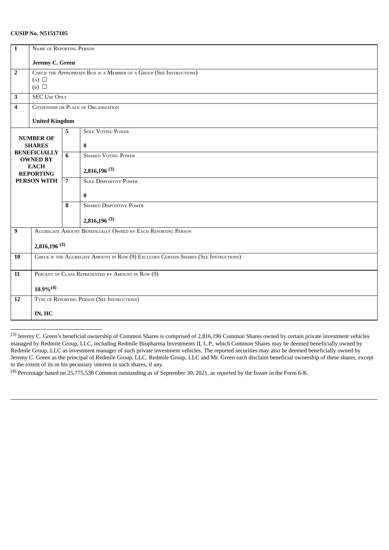## **CUSIP No. N51517105**

| $\mathbf{1}$       | NAME OF REPORTING PERSON                                                            |                |                                                   |  |  |  |  |
|--------------------|-------------------------------------------------------------------------------------|----------------|---------------------------------------------------|--|--|--|--|
|                    |                                                                                     |                |                                                   |  |  |  |  |
|                    | Jeremy C. Green                                                                     |                |                                                   |  |  |  |  |
| $\overline{2}$     | CHECK THE APPROPRIATE BOX IF A MEMBER OF A GROUP (SEE INSTRUCTIONS)                 |                |                                                   |  |  |  |  |
|                    | $(A)$ $\square$                                                                     |                |                                                   |  |  |  |  |
|                    | $(B)$ $\square$                                                                     |                |                                                   |  |  |  |  |
| 3                  | <b>SEC USE ONLY</b>                                                                 |                |                                                   |  |  |  |  |
| 4                  | CITIZENSHIP OR PLACE OF ORGANIZATION                                                |                |                                                   |  |  |  |  |
|                    | <b>United Kingdom</b>                                                               |                |                                                   |  |  |  |  |
|                    |                                                                                     | 5              | <b>SOLE VOTING POWER</b>                          |  |  |  |  |
|                    | <b>NUMBER OF</b>                                                                    |                |                                                   |  |  |  |  |
|                    | <b>SHARES</b>                                                                       |                | $\bf{0}$                                          |  |  |  |  |
|                    | <b>BENEFICIALLY</b><br><b>OWNED BY</b>                                              | 6              | <b>SHARED VOTING POWER</b>                        |  |  |  |  |
|                    | <b>EACH</b>                                                                         |                |                                                   |  |  |  |  |
|                    | <b>REPORTING</b>                                                                    |                | $2,816,196^{(3)}$                                 |  |  |  |  |
| <b>PERSON WITH</b> |                                                                                     | $\overline{7}$ | <b>SOLE DISPOSITIVE POWER</b>                     |  |  |  |  |
|                    |                                                                                     |                | $\bf{0}$                                          |  |  |  |  |
|                    |                                                                                     | 8              | <b>SHARED DISPOSITIVE POWER</b>                   |  |  |  |  |
|                    |                                                                                     |                | $2,816,196$ <sup>(3)</sup>                        |  |  |  |  |
| 9                  | AGGREGATE AMOUNT BENEFICIALLY OWNED BY EACH REPORTING PERSON                        |                |                                                   |  |  |  |  |
|                    | $2,816,196^{(3)}$                                                                   |                |                                                   |  |  |  |  |
| 10                 | CHECK IF THE AGGREGATE AMOUNT IN ROW (9) EXCLUDES CERTAIN SHARES (SEE INSTRUCTIONS) |                |                                                   |  |  |  |  |
|                    |                                                                                     |                |                                                   |  |  |  |  |
| 11                 |                                                                                     |                | PERCENT OF CLASS REPRESENTED BY AMOUNT IN ROW (9) |  |  |  |  |
|                    | $10.9\%^{(4)}$                                                                      |                |                                                   |  |  |  |  |
| 12                 | TYPE OF REPORTING PERSON (SEE INSTRUCTIONS)                                         |                |                                                   |  |  |  |  |
|                    |                                                                                     |                |                                                   |  |  |  |  |
|                    | IN, HC                                                                              |                |                                                   |  |  |  |  |

(3) Jeremy C. Green's beneficial ownership of Common Shares is comprised of 2,816,196 Common Shares owned by certain private investment vehicles managed by Redmile Group, LLC, including Redmile Biopharma Investments II, L.P., which Common Shares may be deemed beneficially owned by Redmile Group, LLC as investment manager of such private investment vehicles. The reported securities may also be deemed beneficially owned by Jeremy C. Green as the principal of Redmile Group, LLC. Redmile Group, LLC and Mr. Green each disclaim beneficial ownership of these shares, except to the extent of its or his pecuniary interest in such shares, if any.

(4) Percentage based on 25,775,538 Common outstanding as of September 30, 2021, as reported by the Issuer in the Form 6-K.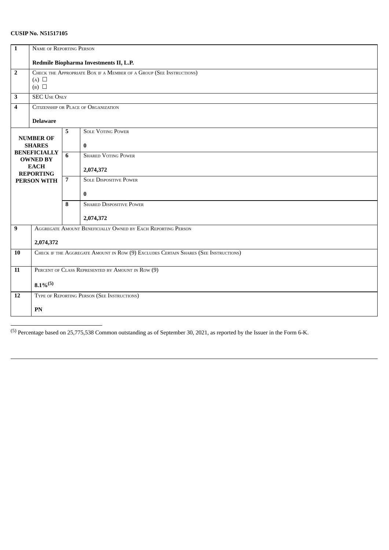# **CUSIP No. N51517105**

| $\mathbf{1}$            | NAME OF REPORTING PERSON                                                            |                |                                 |  |  |  |  |
|-------------------------|-------------------------------------------------------------------------------------|----------------|---------------------------------|--|--|--|--|
|                         |                                                                                     |                |                                 |  |  |  |  |
|                         | Redmile Biopharma Investments II, L.P.                                              |                |                                 |  |  |  |  |
| $\overline{2}$          | CHECK THE APPROPRIATE BOX IF A MEMBER OF A GROUP (SEE INSTRUCTIONS)                 |                |                                 |  |  |  |  |
|                         | $(A)$ $\square$<br>$(B)$ $\square$                                                  |                |                                 |  |  |  |  |
|                         |                                                                                     |                |                                 |  |  |  |  |
| 3                       | <b>SEC USE ONLY</b>                                                                 |                |                                 |  |  |  |  |
| $\overline{\mathbf{4}}$ | CITIZENSHIP OR PLACE OF ORGANIZATION                                                |                |                                 |  |  |  |  |
|                         |                                                                                     |                |                                 |  |  |  |  |
|                         | <b>Delaware</b>                                                                     |                |                                 |  |  |  |  |
|                         |                                                                                     | 5              | <b>SOLE VOTING POWER</b>        |  |  |  |  |
|                         | <b>NUMBER OF</b>                                                                    |                |                                 |  |  |  |  |
|                         | <b>SHARES</b><br><b>BENEFICIALLY</b>                                                |                | $\bf{0}$                        |  |  |  |  |
|                         | <b>OWNED BY</b>                                                                     | 6              | <b>SHARED VOTING POWER</b>      |  |  |  |  |
|                         | <b>EACH</b>                                                                         |                |                                 |  |  |  |  |
|                         | <b>REPORTING</b>                                                                    | $\overline{7}$ | 2,074,372                       |  |  |  |  |
|                         | <b>PERSON WITH</b>                                                                  |                | <b>SOLE DISPOSITIVE POWER</b>   |  |  |  |  |
|                         |                                                                                     |                | $\bf{0}$                        |  |  |  |  |
|                         |                                                                                     |                |                                 |  |  |  |  |
|                         |                                                                                     | 8              | <b>SHARED DISPOSITIVE POWER</b> |  |  |  |  |
|                         |                                                                                     |                | 2,074,372                       |  |  |  |  |
|                         |                                                                                     |                |                                 |  |  |  |  |
| $\overline{9}$          | AGGREGATE AMOUNT BENEFICIALLY OWNED BY EACH REPORTING PERSON                        |                |                                 |  |  |  |  |
|                         | 2,074,372                                                                           |                |                                 |  |  |  |  |
| <b>10</b>               | CHECK IF THE AGGREGATE AMOUNT IN ROW (9) EXCLUDES CERTAIN SHARES (SEE INSTRUCTIONS) |                |                                 |  |  |  |  |
|                         |                                                                                     |                |                                 |  |  |  |  |
| 11                      | PERCENT OF CLASS REPRESENTED BY AMOUNT IN ROW (9)                                   |                |                                 |  |  |  |  |
|                         |                                                                                     |                |                                 |  |  |  |  |
|                         | $8.1\%^{(5)}$                                                                       |                |                                 |  |  |  |  |
| 12                      | TYPE OF REPORTING PERSON (SEE INSTRUCTIONS)                                         |                |                                 |  |  |  |  |
|                         |                                                                                     |                |                                 |  |  |  |  |
|                         | PN                                                                                  |                |                                 |  |  |  |  |
|                         |                                                                                     |                |                                 |  |  |  |  |

(5) Percentage based on 25,775,538 Common outstanding as of September 30, 2021, as reported by the Issuer in the Form 6-K.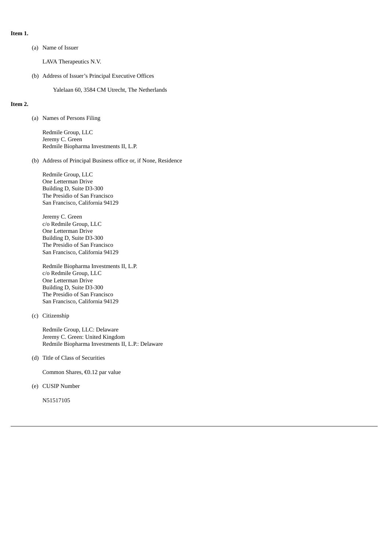## **Item 1.**

(a) Name of Issuer

LAVA Therapeutics N.V.

(b) Address of Issuer's Principal Executive Offices

Yalelaan 60, 3584 CM Utrecht, The Netherlands

### **Item 2.**

(a) Names of Persons Filing

Redmile Group, LLC Jeremy C. Green Redmile Biopharma Investments II, L.P.

(b) Address of Principal Business office or, if None, Residence

Redmile Group, LLC One Letterman Drive Building D, Suite D3-300 The Presidio of San Francisco San Francisco, California 94129

Jeremy C. Green c/o Redmile Group, LLC One Letterman Drive Building D, Suite D3-300 The Presidio of San Francisco San Francisco, California 94129

Redmile Biopharma Investments II, L.P. c/o Redmile Group, LLC One Letterman Drive Building D, Suite D3-300 The Presidio of San Francisco San Francisco, California 94129

(c) Citizenship

Redmile Group, LLC: Delaware Jeremy C. Green: United Kingdom Redmile Biopharma Investments II, L.P.: Delaware

(d) Title of Class of Securities

Common Shares, €0.12 par value

(e) CUSIP Number

N51517105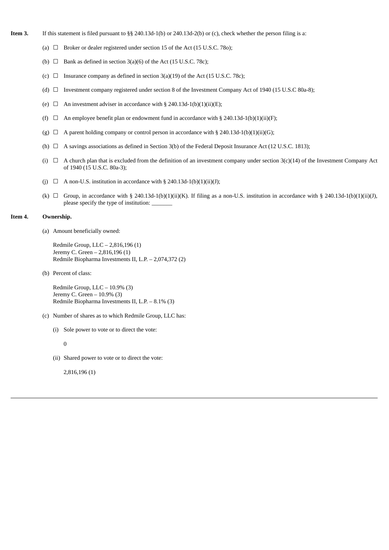- **Item 3.** If this statement is filed pursuant to §§ 240.13d-1(b) or 240.13d-2(b) or (c), check whether the person filing is a:
	- (a)  $\Box$  Broker or dealer registered under section 15 of the Act (15 U.S.C. 780);
	- (b)  $\Box$  Bank as defined in section 3(a)(6) of the Act (15 U.S.C. 78c);
	- (c)  $\Box$  Insurance company as defined in section 3(a)(19) of the Act (15 U.S.C. 78c);
	- (d) ☐ Investment company registered under section 8 of the Investment Company Act of 1940 (15 U.S.C 80a-8);
	- (e)  $\Box$  An investment adviser in accordance with § 240.13d-1(b)(1)(ii)(E);
	- (f)  $\Box$  An employee benefit plan or endowment fund in accordance with § 240.13d-1(b)(1)(ii)(F);
	- (g)  $\Box$  A parent holding company or control person in accordance with § 240.13d-1(b)(1)(ii)(G);
	- (h)  $\Box$  A savings associations as defined in Section 3(b) of the Federal Deposit Insurance Act (12 U.S.C. 1813);
	- (i)  $\Box$  A church plan that is excluded from the definition of an investment company under section 3(c)(14) of the Investment Company Act of 1940 (15 U.S.C. 80a-3);
	- (j)  $\Box$  A non-U.S. institution in accordance with § 240.13d-1(b)(1)(ii)(J);
	- (k)  $\Box$  Group, in accordance with § 240.13d-1(b)(1)(ii)(K). If filing as a non-U.S. institution in accordance with § 240.13d-1(b)(1)(ii)(J), please specify the type of institution:

### **Item 4. Ownership.**

(a) Amount beneficially owned:

Redmile Group, LLC – 2,816,196 (1) Jeremy C. Green – 2,816,196 (1) Redmile Biopharma Investments II, L.P. – 2,074,372 (2)

(b) Percent of class:

Redmile Group, LLC – 10.9% (3) Jeremy C. Green – 10.9% (3) Redmile Biopharma Investments II, L.P. – 8.1% (3)

- (c) Number of shares as to which Redmile Group, LLC has:
	- (i) Sole power to vote or to direct the vote:

 $\theta$ 

(ii) Shared power to vote or to direct the vote:

2,816,196 (1)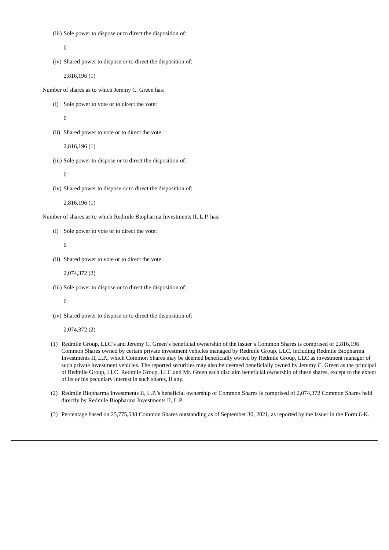(iii) Sole power to dispose or to direct the disposition of:

0

(iv) Shared power to dispose or to direct the disposition of:

2,816,196 (1)

Number of shares as to which Jeremy C. Green has:

(i) Sole power to vote or to direct the vote:

 $\overline{0}$ 

(ii) Shared power to vote or to direct the vote:

2,816,196 (1)

(iii) Sole power to dispose or to direct the disposition of:

 $\Omega$ 

(iv) Shared power to dispose or to direct the disposition of:

2,816,196 (1)

Number of shares as to which Redmile Biopharma Investments II, L.P. has:

(i) Sole power to vote or to direct the vote:

0

(ii) Shared power to vote or to direct the vote:

2,074,372 (2)

(iii) Sole power to dispose or to direct the disposition of:

0

(iv) Shared power to dispose or to direct the disposition of:

2,074,372 (2)

- (1) Redmile Group, LLC's and Jeremy C. Green's beneficial ownership of the Issuer's Common Shares is comprised of 2,816,196 Common Shares owned by certain private investment vehicles managed by Redmile Group, LLC, including Redmile Biopharma Investments II, L.P., which Common Shares may be deemed beneficially owned by Redmile Group, LLC as investment manager of such private investment vehicles. The reported securities may also be deemed beneficially owned by Jeremy C. Green as the principal of Redmile Group, LLC. Redmile Group, LLC and Mr. Green each disclaim beneficial ownership of these shares, except to the extent of its or his pecuniary interest in such shares, if any.
- (2) Redmile Biopharma Investments II, L.P.'s beneficial ownership of Common Shares is comprised of 2,074,372 Common Shares held directly by Redmile Biopharma Investments II, L.P.
- (3) Percentage based on 25,775,538 Common Shares outstanding as of September 30, 2021, as reported by the Issuer in the Form 6-K.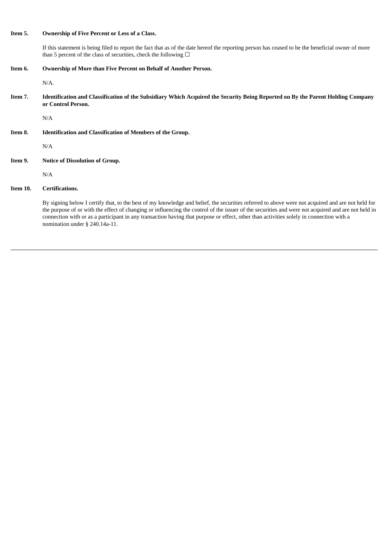## **Item 5. Ownership of Five Percent or Less of a Class.**

If this statement is being filed to report the fact that as of the date hereof the reporting person has ceased to be the beneficial owner of more than 5 percent of the class of securities, check the following  $\Box$ 

**Item 6. Ownership of More than Five Percent on Behalf of Another Person.**

N/A.

Item 7. Identification and Classification of the Subsidiary Which Acquired the Security Being Reported on By the Parent Holding Company **or Control Person.**

N/A

**Item 8. Identification and Classification of Members of the Group.**

N/A

**Item 9. Notice of Dissolution of Group.**

N/A

## **Item 10. Certifications.**

By signing below I certify that, to the best of my knowledge and belief, the securities referred to above were not acquired and are not held for the purpose of or with the effect of changing or influencing the control of the issuer of the securities and were not acquired and are not held in connection with or as a participant in any transaction having that purpose or effect, other than activities solely in connection with a nomination under § 240.14a-11.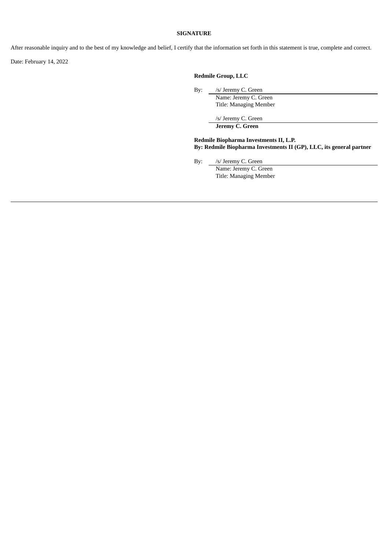### **SIGNATURE**

After reasonable inquiry and to the best of my knowledge and belief, I certify that the information set forth in this statement is true, complete and correct.

Date: February 14, 2022

## **Redmile Group, LLC**

By: /s/ Jeremy C. Green

Name: Jeremy C. Green Title: Managing Member

/s/ Jeremy C. Green

**Jeremy C. Green**

**Redmile Biopharma Investments II, L.P. By: Redmile Biopharma Investments II (GP), LLC, its general partner**

By: /s/ Jeremy C. Green

Name: Jeremy C. Green Title: Managing Member